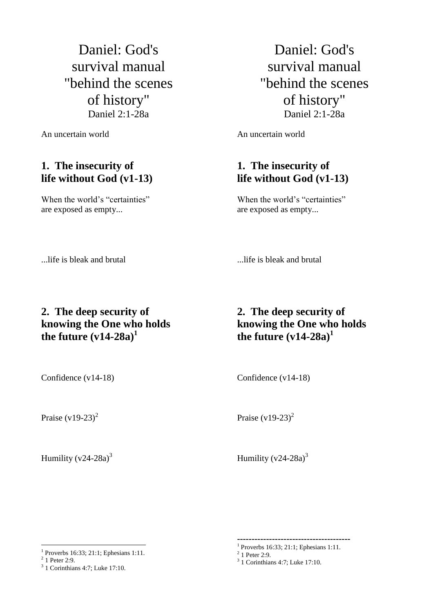Daniel: God's survival manual "behind the scenes of history" Daniel 2:1-28a

An uncertain world

## **1. The insecurity of life without God (v1-13)**

When the world's "certainties" are exposed as empty...

Daniel: God's survival manual "behind the scenes of history" Daniel 2:1-28a

An uncertain world

## **1. The insecurity of life without God (v1-13)**

When the world's "certainties" are exposed as empty...

...life is bleak and brutal

...life is bleak and brutal

## **2. The deep security of knowing the One who holds**  the future  $(v14-28a)^1$

# **knowing the One who holds**  the future  $(v14-28a)^1$

**2. The deep security of**

Confidence (v14-18)

Praise  $(v19-23)^2$ 

Confidence (v14-18)

Humility  $(v24-28a)^3$ 

Praise  $(v19-23)^2$ 

Humility  $(v24-28a)^3$ 

**---------------------------------------**

 $\overline{a}$ 1 Proverbs 16:33; 21:1; Ephesians 1:11.

 $2$  1 Peter 2:9.

<sup>3</sup> 1 Corinthians 4:7; Luke 17:10.

<sup>1</sup> Proverbs 16:33; 21:1; Ephesians 1:11.

 $^{2}$  1 Peter 2:9.<br> $^{3}$  1 Corinthians 4:7; Luke 17:10.